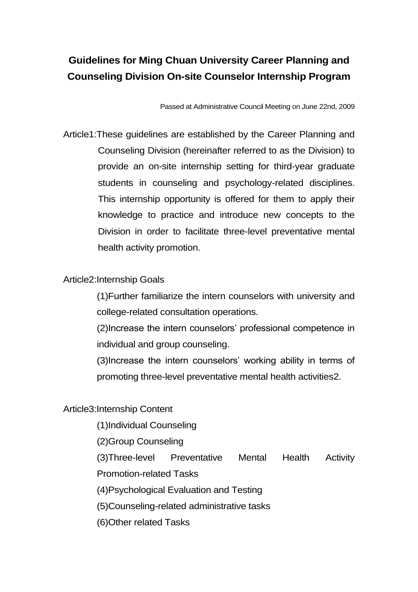# **Guidelines for Ming Chuan University Career Planning and Counseling Division On-site Counselor Internship Program**

Passed at Administrative Council Meeting on June 22nd, 2009

Article1:These guidelines are established by the Career Planning and Counseling Division (hereinafter referred to as the Division) to provide an on-site internship setting for third-year graduate students in counseling and psychology-related disciplines. This internship opportunity is offered for them to apply their knowledge to practice and introduce new concepts to the Division in order to facilitate three-level preventative mental health activity promotion.

## Article2:Internship Goals

(1)Further familiarize the intern counselors with university and college-related consultation operations.

(2)Increase the intern counselors' professional competence in individual and group counseling.

(3)Increase the intern counselors' working ability in terms of promoting three-level preventative mental health activities2.

## Article3:Internship Content

(1)Individual Counseling

(2)Group Counseling

(3)Three-level Preventative Mental Health Activity

Promotion-related Tasks

(4)Psychological Evaluation and Testing

(5)Counseling-related administrative tasks

(6)Other related Tasks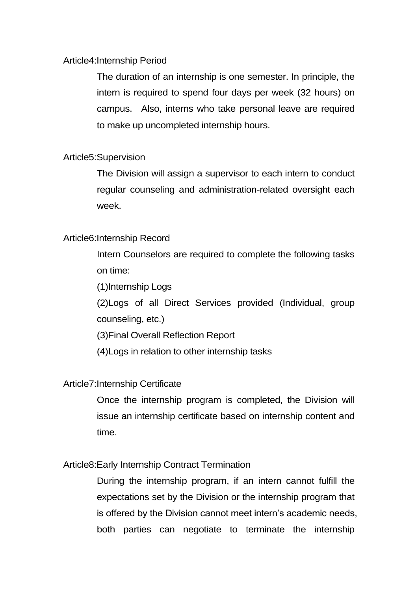#### Article4:Internship Period

The duration of an internship is one semester. In principle, the intern is required to spend four days per week (32 hours) on campus. Also, interns who take personal leave are required to make up uncompleted internship hours.

#### Article5:Supervision

The Division will assign a supervisor to each intern to conduct regular counseling and administration-related oversight each week.

#### Article6:Internship Record

Intern Counselors are required to complete the following tasks on time:

(1)Internship Logs

(2)Logs of all Direct Services provided (Individual, group counseling, etc.)

(3)Final Overall Reflection Report

(4)Logs in relation to other internship tasks

## Article7:Internship Certificate

Once the internship program is completed, the Division will issue an internship certificate based on internship content and time.

## Article8:Early Internship Contract Termination

During the internship program, if an intern cannot fulfill the expectations set by the Division or the internship program that is offered by the Division cannot meet intern's academic needs, both parties can negotiate to terminate the internship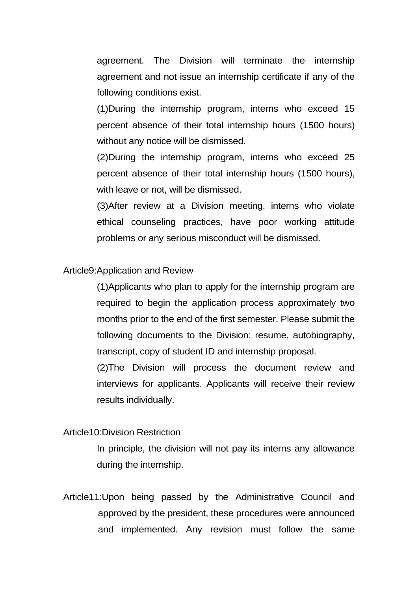agreement. The Division will terminate the internship agreement and not issue an internship certificate if any of the following conditions exist.

(1)During the internship program, interns who exceed 15 percent absence of their total internship hours (1500 hours) without any notice will be dismissed.

(2)During the internship program, interns who exceed 25 percent absence of their total internship hours (1500 hours), with leave or not, will be dismissed.

(3)After review at a Division meeting, interns who violate ethical counseling practices, have poor working attitude problems or any serious misconduct will be dismissed.

#### Article9:Application and Review

(1)Applicants who plan to apply for the internship program are required to begin the application process approximately two months prior to the end of the first semester. Please submit the following documents to the Division: resume, autobiography, transcript, copy of student ID and internship proposal.

(2)The Division will process the document review and interviews for applicants. Applicants will receive their review results individually.

#### Article10:Division Restriction

In principle, the division will not pay its interns any allowance during the internship.

Article11:Upon being passed by the Administrative Council and approved by the president, these procedures were announced and implemented. Any revision must follow the same